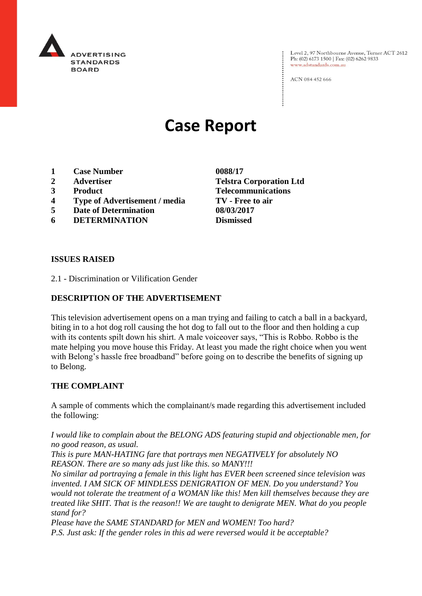

Level 2, 97 Northbourne Avenue, Turner ACT 2612 Ph: (02) 6173 1500 | Fax: (02) 6262 9833 www.adstandards.com.au

ACN 084 452 666

# **Case Report**

- **1 Case Number 0088/17**
- 
- 
- **4 Type of Advertisement / media TV - Free to air**
- **5 Date of Determination 08/03/2017**
- **6 DETERMINATION Dismissed**

**2 Advertiser Telstra Corporation Ltd 3 Product Telecommunications**

#### **ISSUES RAISED**

2.1 - Discrimination or Vilification Gender

## **DESCRIPTION OF THE ADVERTISEMENT**

This television advertisement opens on a man trying and failing to catch a ball in a backyard, biting in to a hot dog roll causing the hot dog to fall out to the floor and then holding a cup with its contents spilt down his shirt. A male voiceover says, "This is Robbo. Robbo is the mate helping you move house this Friday. At least you made the right choice when you went with Belong's hassle free broadband" before going on to describe the benefits of signing up to Belong.

### **THE COMPLAINT**

A sample of comments which the complainant/s made regarding this advertisement included the following:

*I would like to complain about the BELONG ADS featuring stupid and objectionable men, for no good reason, as usual.*

*This is pure MAN-HATING fare that portrays men NEGATIVELY for absolutely NO REASON. There are so many ads just like this. so MANY!!!*

*No similar ad portraying a female in this light has EVER been screened since television was invented. I AM SICK OF MINDLESS DENIGRATION OF MEN. Do you understand? You would not tolerate the treatment of a WOMAN like this! Men kill themselves because they are treated like SHIT. That is the reason!! We are taught to denigrate MEN. What do you people stand for?*

*Please have the SAME STANDARD for MEN and WOMEN! Too hard? P.S. Just ask: If the gender roles in this ad were reversed would it be acceptable?*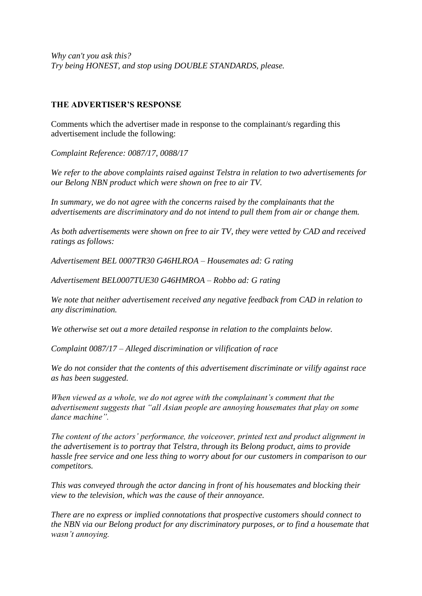*Why can't you ask this? Try being HONEST, and stop using DOUBLE STANDARDS, please.*

### **THE ADVERTISER'S RESPONSE**

Comments which the advertiser made in response to the complainant/s regarding this advertisement include the following:

*Complaint Reference: 0087/17, 0088/17*

*We refer to the above complaints raised against Telstra in relation to two advertisements for our Belong NBN product which were shown on free to air TV.*

*In summary, we do not agree with the concerns raised by the complainants that the advertisements are discriminatory and do not intend to pull them from air or change them.*

*As both advertisements were shown on free to air TV, they were vetted by CAD and received ratings as follows:*

*Advertisement BEL 0007TR30 G46HLROA – Housemates ad: G rating*

*Advertisement BEL0007TUE30 G46HMROA – Robbo ad: G rating*

*We note that neither advertisement received any negative feedback from CAD in relation to any discrimination.*

*We otherwise set out a more detailed response in relation to the complaints below.*

*Complaint 0087/17 – Alleged discrimination or vilification of race*

*We do not consider that the contents of this advertisement discriminate or vilify against race as has been suggested.*

*When viewed as a whole, we do not agree with the complainant's comment that the advertisement suggests that "all Asian people are annoying housemates that play on some dance machine".*

*The content of the actors' performance, the voiceover, printed text and product alignment in the advertisement is to portray that Telstra, through its Belong product, aims to provide hassle free service and one less thing to worry about for our customers in comparison to our competitors.*

*This was conveyed through the actor dancing in front of his housemates and blocking their view to the television, which was the cause of their annoyance.*

*There are no express or implied connotations that prospective customers should connect to the NBN via our Belong product for any discriminatory purposes, or to find a housemate that wasn't annoying.*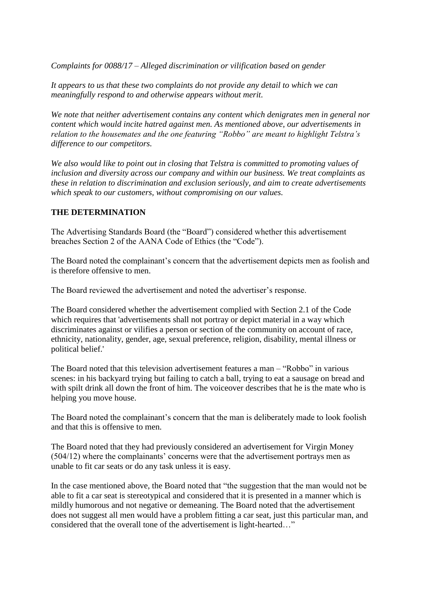*Complaints for 0088/17 – Alleged discrimination or vilification based on gender*

*It appears to us that these two complaints do not provide any detail to which we can meaningfully respond to and otherwise appears without merit.*

*We note that neither advertisement contains any content which denigrates men in general nor content which would incite hatred against men. As mentioned above, our advertisements in relation to the housemates and the one featuring "Robbo" are meant to highlight Telstra's difference to our competitors.*

*We also would like to point out in closing that Telstra is committed to promoting values of inclusion and diversity across our company and within our business. We treat complaints as these in relation to discrimination and exclusion seriously, and aim to create advertisements which speak to our customers, without compromising on our values.*

## **THE DETERMINATION**

The Advertising Standards Board (the "Board") considered whether this advertisement breaches Section 2 of the AANA Code of Ethics (the "Code").

The Board noted the complainant's concern that the advertisement depicts men as foolish and is therefore offensive to men

The Board reviewed the advertisement and noted the advertiser's response.

The Board considered whether the advertisement complied with Section 2.1 of the Code which requires that 'advertisements shall not portray or depict material in a way which discriminates against or vilifies a person or section of the community on account of race, ethnicity, nationality, gender, age, sexual preference, religion, disability, mental illness or political belief.'

The Board noted that this television advertisement features a man – "Robbo" in various scenes: in his backyard trying but failing to catch a ball, trying to eat a sausage on bread and with spilt drink all down the front of him. The voiceover describes that he is the mate who is helping you move house.

The Board noted the complainant's concern that the man is deliberately made to look foolish and that this is offensive to men.

The Board noted that they had previously considered an advertisement for Virgin Money (504/12) where the complainants' concerns were that the advertisement portrays men as unable to fit car seats or do any task unless it is easy.

In the case mentioned above, the Board noted that "the suggestion that the man would not be able to fit a car seat is stereotypical and considered that it is presented in a manner which is mildly humorous and not negative or demeaning. The Board noted that the advertisement does not suggest all men would have a problem fitting a car seat, just this particular man, and considered that the overall tone of the advertisement is light-hearted…"